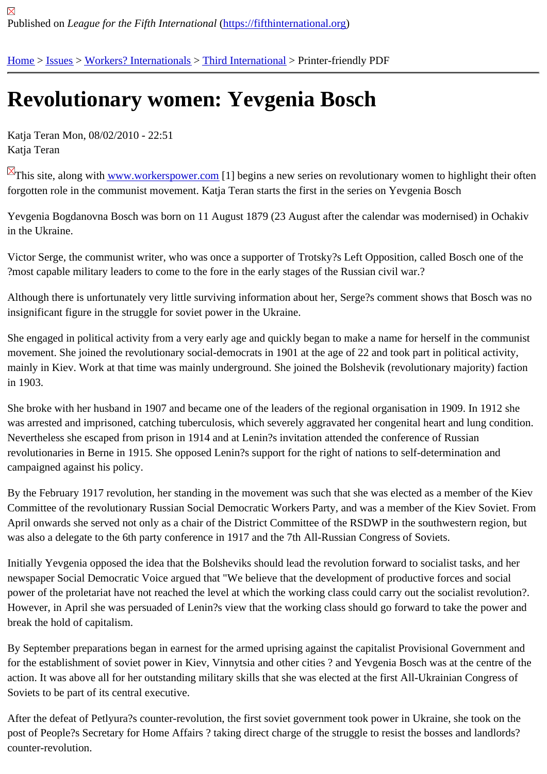## [Re](https://fifthinternational.org/)[volu](https://fifthinternational.org/category/7)t[ionary wom](https://fifthinternational.org/category/7/459)[en: Yevge](https://fifthinternational.org/category/7/459/462)nia Bosch

Katja Teran Mon, 08/02/2010 - 22:51 Katja Teran

This site, along with www.workerspower.com[1] begins a new series on revolutionary women to highlight their ofter forgotten role in the communist movement. Katja Teran starts the first in the series on Yevgenia Bosch

Yevgenia Bogdanov[na Bosch was born on 1](http://www.workerspower.com)1 August 1879 (23 August after the calendar was modernised) in Och in the Ukraine.

Victor Serge, the communist writer, who was once a supporter of Trotsky?s Left Opposition, called Bosch one of the ?most capable military leaders to come to the fore in the early stages of the Russian civil war.?

Although there is unfortunately very little surviving information about her, Serge?s comment shows that Bosch was insignificant figure in the struggle for soviet power in the Ukraine.

She engaged in political activity from a very early age and quickly began to make a name for herself in the commu movement. She joined the revolutionary social-democrats in 1901 at the age of 22 and took part in political activity, mainly in Kiev. Work at that time was mainly underground. She joined the Bolshevik (revolutionary majority) faction in 1903.

She broke with her husband in 1907 and became one of the leaders of the regional organisation in 1909. In 1912 was arrested and imprisoned, catching tuberculosis, which severely aggravated her congenital heart and lung con Nevertheless she escaped from prison in 1914 and at Lenin?s invitation attended the conference of Russian revolutionaries in Berne in 1915. She opposed Lenin?s support for the right of nations to self-determination and campaigned against his policy.

By the February 1917 revolution, her standing in the movement was such that she was elected as a member of the Committee of the revolutionary Russian Social Democratic Workers Party, and was a member of the Kiev Soviet. I April onwards she served not only as a chair of the District Committee of the RSDWP in the southwestern region, I was also a delegate to the 6th party conference in 1917 and the 7th All-Russian Congress of Soviets.

Initially Yevgenia opposed the idea that the Bolsheviks should lead the revolution forward to socialist tasks, and her newspaper Social Democratic Voice argued that "We believe that the development of productive forces and social power of the proletariat have not reached the level at which the working class could carry out the socialist revolutio However, in April she was persuaded of Lenin?s view that the working class should go forward to take the power a break the hold of capitalism.

By September preparations began in earnest for the armed uprising against the capitalist Provisional Government for the establishment of soviet power in Kiev, Vinnytsia and other cities ? and Yevgenia Bosch was at the centre o action. It was above all for her outstanding military skills that she was elected at the first All-Ukrainian Congress of Soviets to be part of its central executive.

After the defeat of Petlyura?s counter-revolution, the first soviet government took power in Ukraine, she took on th post of People?s Secretary for Home Affairs ? taking direct charge of the struggle to resist the bosses and landlord counter-revolution.